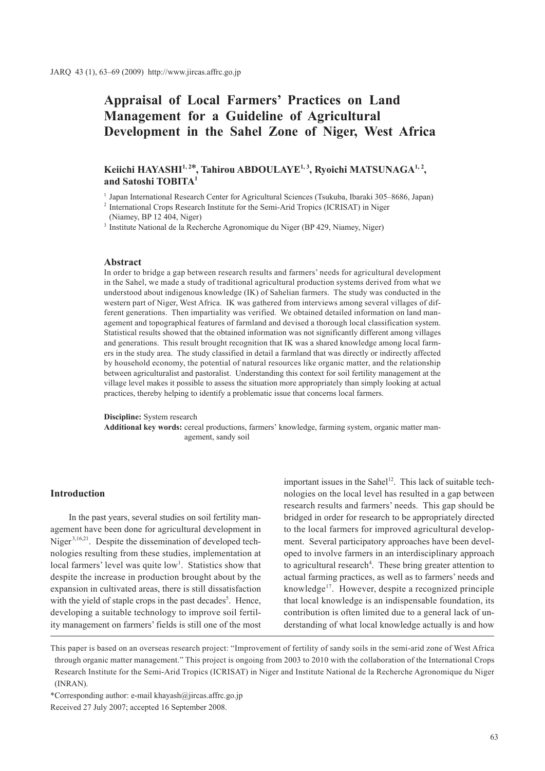# **Appraisal of Local Farmers' Practices on Land Management for a Guideline of Agricultural Development in the Sahel Zone of Niger, West Africa**

## Keiichi HAYASHI<sup>1,2\*</sup>, Tahirou ABDOULAYE<sup>1,3</sup>, Ryoichi MATSUNAGA<sup>1,2</sup>, **and Satoshi TOBITA1**

1 Japan International Research Center for Agricultural Sciences (Tsukuba, Ibaraki 305–8686, Japan)

<sup>3</sup> Institute National de la Recherche Agronomique du Niger (BP 429, Niamey, Niger)

#### **Abstract**

In order to bridge a gap between research results and farmers' needs for agricultural development in the Sahel, we made a study of traditional agricultural production systems derived from what we understood about indigenous knowledge (IK) of Sahelian farmers. The study was conducted in the western part of Niger, West Africa. IK was gathered from interviews among several villages of different generations. Then impartiality was verified. We obtained detailed information on land management and topographical features of farmland and devised a thorough local classification system. Statistical results showed that the obtained information was not significantly different among villages and generations. This result brought recognition that IK was a shared knowledge among local farmers in the study area. The study classified in detail a farmland that was directly or indirectly affected by household economy, the potential of natural resources like organic matter, and the relationship between agriculturalist and pastoralist. Understanding this context for soil fertility management at the village level makes it possible to assess the situation more appropriately than simply looking at actual practices, thereby helping to identify a problematic issue that concerns local farmers.

#### **Discipline:** System research

**Additional key words:** cereal productions, farmers' knowledge, farming system, organic matter management, sandy soil

#### **Introduction**

In the past years, several studies on soil fertility management have been done for agricultural development in Niger<sup>3,16,21</sup>. Despite the dissemination of developed technologies resulting from these studies, implementation at local farmers' level was quite low<sup>1</sup>. Statistics show that despite the increase in production brought about by the expansion in cultivated areas, there is still dissatisfaction with the yield of staple crops in the past decades<sup>5</sup>. Hence, developing a suitable technology to improve soil fertility management on farmers' fields is still one of the most

important issues in the Sahel<sup>12</sup>. This lack of suitable technologies on the local level has resulted in a gap between research results and farmers' needs. This gap should be bridged in order for research to be appropriately directed to the local farmers for improved agricultural development. Several participatory approaches have been developed to involve farmers in an interdisciplinary approach to agricultural research<sup>4</sup>. These bring greater attention to actual farming practices, as well as to farmers' needs and knowledge<sup>17</sup>. However, despite a recognized principle that local knowledge is an indispensable foundation, its contribution is often limited due to a general lack of understanding of what local knowledge actually is and how

This paper is based on an overseas research project: "Improvement of fertility of sandy soils in the semi-arid zone of West Africa through organic matter management." This project is ongoing from 2003 to 2010 with the collaboration of the International Crops Research Institute for the Semi-Arid Tropics (ICRISAT) in Niger and Institute National de la Recherche Agronomique du Niger (INRAN).

\*Corresponding author: e-mail khayash@jircas.affrc.go.jp

<sup>&</sup>lt;sup>2</sup> International Crops Research Institute for the Semi-Arid Tropics (ICRISAT) in Niger (Niamey, BP 12 404, Niger)

Received 27 July 2007; accepted 16 September 2008.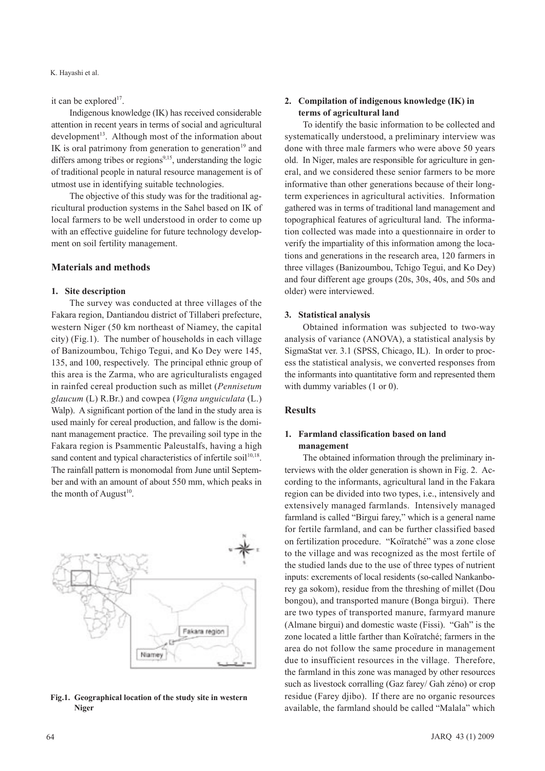K. Hayashi et al.

it can be explored<sup>17</sup>.

Indigenous knowledge (IK) has received considerable attention in recent years in terms of social and agricultural  $development<sup>13</sup>$ . Although most of the information about IK is oral patrimony from generation to generation<sup>19</sup> and differs among tribes or regions<sup>9,15</sup>, understanding the logic of traditional people in natural resource management is of utmost use in identifying suitable technologies.

The objective of this study was for the traditional agricultural production systems in the Sahel based on IK of local farmers to be well understood in order to come up with an effective guideline for future technology development on soil fertility management.

## **Materials and methods**

#### **1. Site description**

The survey was conducted at three villages of the Fakara region, Dantiandou district of Tillaberi prefecture, western Niger (50 km northeast of Niamey, the capital city) (Fig.1). The number of households in each village of Banizoumbou, Tchigo Tegui, and Ko Dey were 145, 135, and 100, respectively. The principal ethnic group of this area is the Zarma, who are agriculturalists engaged in rainfed cereal production such as millet (*Pennisetum glaucum* (L) R.Br.) and cowpea (*Vigna unguiculata* (L.) Walp). A significant portion of the land in the study area is used mainly for cereal production, and fallow is the dominant management practice. The prevailing soil type in the Fakara region is Psammentic Paleustalfs, having a high sand content and typical characteristics of infertile soil<sup>10,18</sup>. The rainfall pattern is monomodal from June until September and with an amount of about 550 mm, which peaks in the month of August $10$ .



#### **Fig.1. Geographical location of the study site in western Niger**

## **2. Compilation of indigenous knowledge (IK) in terms of agricultural land**

To identify the basic information to be collected and systematically understood, a preliminary interview was done with three male farmers who were above 50 years old. In Niger, males are responsible for agriculture in general, and we considered these senior farmers to be more informative than other generations because of their longterm experiences in agricultural activities. Information gathered was in terms of traditional land management and topographical features of agricultural land. The information collected was made into a questionnaire in order to verify the impartiality of this information among the locations and generations in the research area, 120 farmers in three villages (Banizoumbou, Tchigo Tegui, and Ko Dey) and four different age groups (20s, 30s, 40s, and 50s and older) were interviewed.

#### **3. Statistical analysis**

Obtained information was subjected to two-way analysis of variance (ANOVA), a statistical analysis by SigmaStat ver. 3.1 (SPSS, Chicago, IL). In order to process the statistical analysis, we converted responses from the informants into quantitative form and represented them with dummy variables (1 or 0).

## **Results**

## **1. Farmland classification based on land management**

The obtained information through the preliminary interviews with the older generation is shown in Fig. 2. According to the informants, agricultural land in the Fakara region can be divided into two types, i.e., intensively and extensively managed farmlands. Intensively managed farmland is called "Birgui farey," which is a general name for fertile farmland, and can be further classified based on fertilization procedure. "Koïratché" was a zone close to the village and was recognized as the most fertile of the studied lands due to the use of three types of nutrient inputs: excrements of local residents (so-called Nankanborey ga sokom), residue from the threshing of millet (Dou bongou), and transported manure (Bonga birgui). There are two types of transported manure, farmyard manure (Almane birgui) and domestic waste (Fissi). "Gah" is the zone located a little farther than Koïratché; farmers in the area do not follow the same procedure in management due to insufficient resources in the village. Therefore, the farmland in this zone was managed by other resources such as livestock corralling (Gaz farey/ Gah zéno) or crop residue (Farey djibo). If there are no organic resources available, the farmland should be called "Malala" which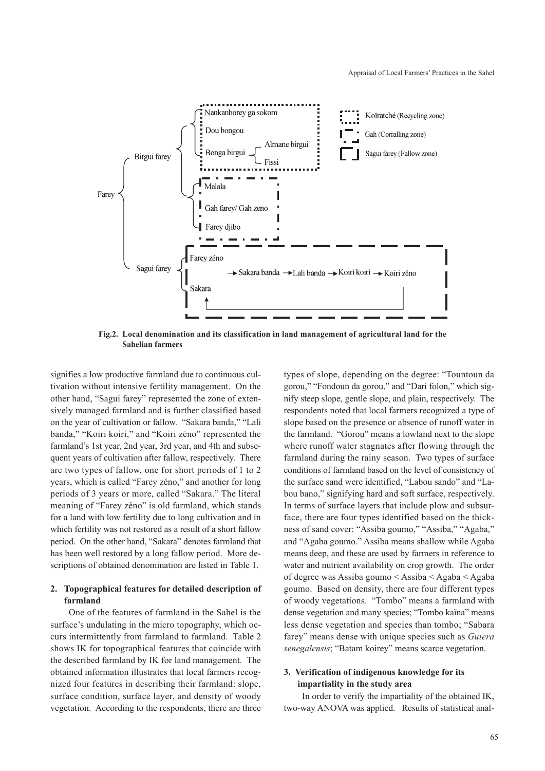

**Fig.2. Local denomination and its classification in land management of agricultural land for the Sahelian farmers**

signifies a low productive farmland due to continuous cultivation without intensive fertility management. On the other hand, "Sagui farey" represented the zone of extensively managed farmland and is further classified based on the year of cultivation or fallow. "Sakara banda," "Lali banda," "Koiri koiri," and "Koiri zéno" represented the farmland's 1st year, 2nd year, 3rd year, and 4th and subsequent years of cultivation after fallow, respectively. There are two types of fallow, one for short periods of 1 to 2 years, which is called "Farey zéno," and another for long periods of 3 years or more, called "Sakara." The literal meaning of "Farey zéno" is old farmland, which stands for a land with low fertility due to long cultivation and in which fertility was not restored as a result of a short fallow period. On the other hand, "Sakara" denotes farmland that has been well restored by a long fallow period. More descriptions of obtained denomination are listed in Table 1.

## **2. Topographical features for detailed description of farmland**

One of the features of farmland in the Sahel is the surface's undulating in the micro topography, which occurs intermittently from farmland to farmland. Table 2 shows IK for topographical features that coincide with the described farmland by IK for land management. The obtained information illustrates that local farmers recognized four features in describing their farmland: slope, surface condition, surface layer, and density of woody vegetation. According to the respondents, there are three types of slope, depending on the degree: "Tountoun da gorou," "Fondoun da gorou," and "Dari folon," which signify steep slope, gentle slope, and plain, respectively. The respondents noted that local farmers recognized a type of slope based on the presence or absence of runoff water in the farmland. "Gorou" means a lowland next to the slope where runoff water stagnates after flowing through the farmland during the rainy season. Two types of surface conditions of farmland based on the level of consistency of the surface sand were identified, "Labou sando" and "Labou bano," signifying hard and soft surface, respectively. In terms of surface layers that include plow and subsurface, there are four types identified based on the thickness of sand cover: "Assiba goumo," "Assiba," "Agaba," and "Agaba goumo." Assiba means shallow while Agaba means deep, and these are used by farmers in reference to water and nutrient availability on crop growth. The order of degree was Assiba goumo < Assiba < Agaba < Agaba goumo. Based on density, there are four different types of woody vegetations. "Tombo" means a farmland with dense vegetation and many species; "Tombo kaïna" means less dense vegetation and species than tombo; "Sabara farey" means dense with unique species such as *Guiera senegalensis*; "Batam koirey" means scarce vegetation.

## **3. Verification of indigenous knowledge for its impartiality in the study area**

In order to verify the impartiality of the obtained IK, two-way ANOVA was applied. Results of statistical anal-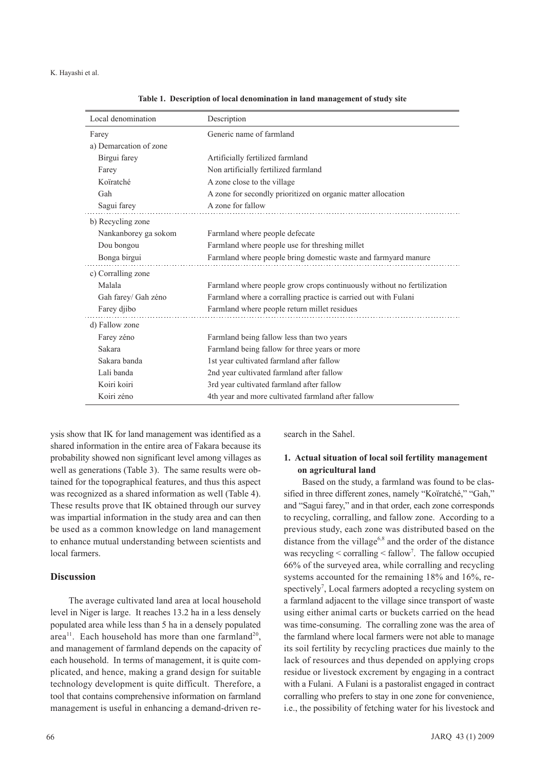#### K. Hayashi et al.

| Local denomination     | Description                                                            |
|------------------------|------------------------------------------------------------------------|
| Farey                  | Generic name of farmland                                               |
| a) Demarcation of zone |                                                                        |
| Birgui farey           | Artificially fertilized farmland                                       |
| Farey                  | Non artificially fertilized farmland                                   |
| Koïratché              | A zone close to the village                                            |
| Gah                    | A zone for secondly prioritized on organic matter allocation           |
| Sagui farey            | A zone for fallow                                                      |
| b) Recycling zone      |                                                                        |
| Nankanborey ga sokom   | Farmland where people defecate                                         |
| Dou bongou             | Farmland where people use for threshing millet                         |
| Bonga birgui           | Farmland where people bring domestic waste and farmyard manure         |
| c) Corralling zone     |                                                                        |
| Malala                 | Farmland where people grow crops continuously without no fertilization |
| Gah farey/ Gah zéno    | Farmland where a corralling practice is carried out with Fulani        |
| Farey djibo            | Farmland where people return millet residues                           |
| d) Fallow zone         |                                                                        |
| Farey zéno             | Farmland being fallow less than two years                              |
| Sakara                 | Farmland being fallow for three years or more                          |
| Sakara banda           | 1st year cultivated farmland after fallow                              |
| Lali banda             | 2nd year cultivated farmland after fallow                              |
| Koiri koiri            | 3rd year cultivated farmland after fallow                              |
| Koiri zéno             | 4th year and more cultivated farmland after fallow                     |

**Table 1. Description of local denomination in land management of study site**

ysis show that IK for land management was identified as a shared information in the entire area of Fakara because its probability showed non significant level among villages as well as generations (Table 3). The same results were obtained for the topographical features, and thus this aspect was recognized as a shared information as well (Table 4). These results prove that IK obtained through our survey was impartial information in the study area and can then be used as a common knowledge on land management to enhance mutual understanding between scientists and local farmers.

## **Discussion**

The average cultivated land area at local household level in Niger is large. It reaches 13.2 ha in a less densely populated area while less than 5 ha in a densely populated area<sup>11</sup>. Each household has more than one farmland<sup>20</sup>, and management of farmland depends on the capacity of each household. In terms of management, it is quite complicated, and hence, making a grand design for suitable technology development is quite difficult. Therefore, a tool that contains comprehensive information on farmland management is useful in enhancing a demand-driven research in the Sahel.

## **1. Actual situation of local soil fertility management on agricultural land**

Based on the study, a farmland was found to be classified in three different zones, namely "Koïratché," "Gah," and "Sagui farey," and in that order, each zone corresponds to recycling, corralling, and fallow zone. According to a previous study, each zone was distributed based on the distance from the village<sup>6,8</sup> and the order of the distance was recycling < corralling < fallow<sup>7</sup>. The fallow occupied 66% of the surveyed area, while corralling and recycling systems accounted for the remaining 18% and 16%, respectively<sup>7</sup>, Local farmers adopted a recycling system on a farmland adjacent to the village since transport of waste using either animal carts or buckets carried on the head was time-consuming. The corralling zone was the area of the farmland where local farmers were not able to manage its soil fertility by recycling practices due mainly to the lack of resources and thus depended on applying crops residue or livestock excrement by engaging in a contract with a Fulani. A Fulani is a pastoralist engaged in contract corralling who prefers to stay in one zone for convenience, i.e., the possibility of fetching water for his livestock and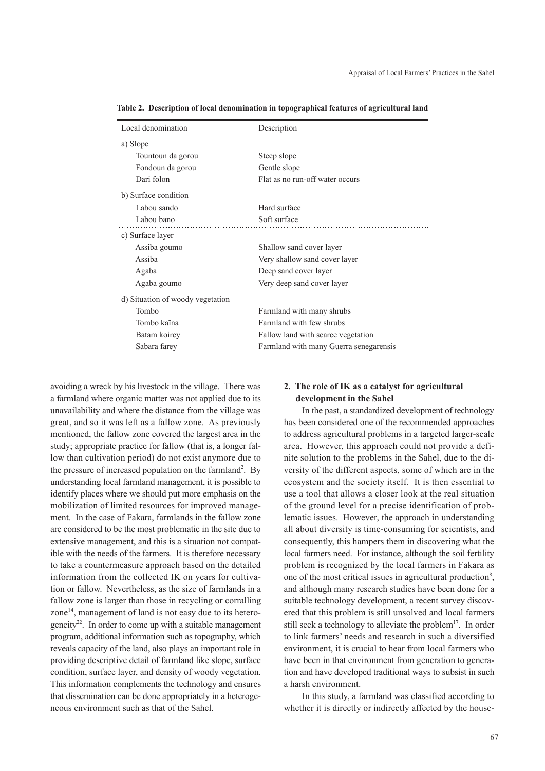| Local denomination               | Description                            |
|----------------------------------|----------------------------------------|
| a) Slope                         |                                        |
| Tountoun da gorou                | Steep slope                            |
| Fondoun da gorou                 | Gentle slope                           |
| Dari folon                       | Flat as no run-off water occurs        |
| b) Surface condition             |                                        |
| Labou sando                      | Hard surface                           |
| Labou bano                       | Soft surface                           |
| c) Surface layer                 |                                        |
| Assiba goumo                     | Shallow sand cover layer               |
| Assiba                           | Very shallow sand cover layer          |
| Agaba                            | Deep sand cover layer                  |
| Agaba goumo                      | Very deep sand cover layer             |
| d) Situation of woody vegetation |                                        |
| Tombo                            | Farmland with many shrubs              |
| Tombo kaïna                      | Farmland with few shrubs               |
| Batam koirey                     | Fallow land with scarce vegetation     |
| Sabara farey                     | Farmland with many Guerra senegarensis |
|                                  |                                        |

**Table 2. Description of local denomination in topographical features of agricultural land** 

avoiding a wreck by his livestock in the village. There was a farmland where organic matter was not applied due to its unavailability and where the distance from the village was great, and so it was left as a fallow zone. As previously mentioned, the fallow zone covered the largest area in the study; appropriate practice for fallow (that is, a longer fallow than cultivation period) do not exist anymore due to the pressure of increased population on the farmland<sup>2</sup>. By understanding local farmland management, it is possible to identify places where we should put more emphasis on the mobilization of limited resources for improved management. In the case of Fakara, farmlands in the fallow zone are considered to be the most problematic in the site due to extensive management, and this is a situation not compatible with the needs of the farmers. It is therefore necessary to take a countermeasure approach based on the detailed information from the collected IK on years for cultivation or fallow. Nevertheless, as the size of farmlands in a fallow zone is larger than those in recycling or corralling zone $14$ , management of land is not easy due to its heterogeneity<sup>22</sup>. In order to come up with a suitable management program, additional information such as topography, which reveals capacity of the land, also plays an important role in providing descriptive detail of farmland like slope, surface condition, surface layer, and density of woody vegetation. This information complements the technology and ensures that dissemination can be done appropriately in a heterogeneous environment such as that of the Sahel.

## **2. The role of IK as a catalyst for agricultural development in the Sahel**

In the past, a standardized development of technology has been considered one of the recommended approaches to address agricultural problems in a targeted larger-scale area. However, this approach could not provide a definite solution to the problems in the Sahel, due to the diversity of the different aspects, some of which are in the ecosystem and the society itself. It is then essential to use a tool that allows a closer look at the real situation of the ground level for a precise identification of problematic issues. However, the approach in understanding all about diversity is time-consuming for scientists, and consequently, this hampers them in discovering what the local farmers need. For instance, although the soil fertility problem is recognized by the local farmers in Fakara as one of the most critical issues in agricultural production<sup>8</sup>, and although many research studies have been done for a suitable technology development, a recent survey discovered that this problem is still unsolved and local farmers still seek a technology to alleviate the problem<sup>17</sup>. In order to link farmers' needs and research in such a diversified environment, it is crucial to hear from local farmers who have been in that environment from generation to generation and have developed traditional ways to subsist in such a harsh environment.

In this study, a farmland was classified according to whether it is directly or indirectly affected by the house-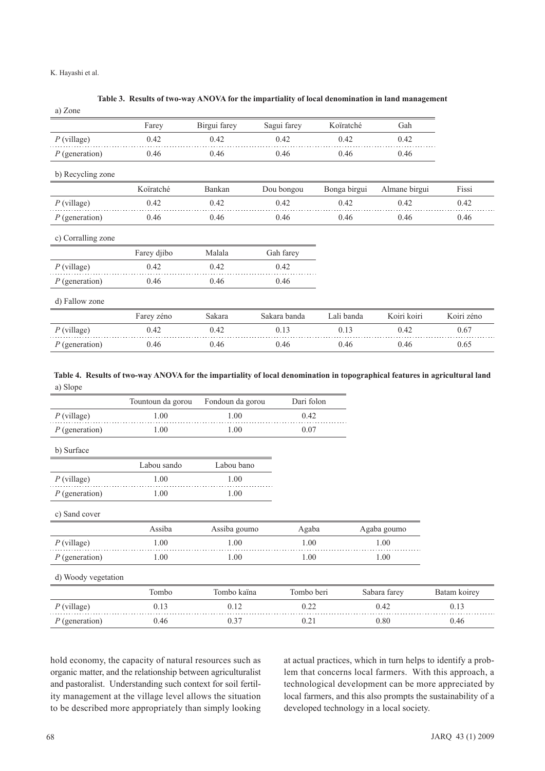#### K. Hayashi et al.

#### **Table 3. Results of two-way ANOVA for the impartiality of local denomination in land management**

| a) Zone            |             |              |              |              |               |            |
|--------------------|-------------|--------------|--------------|--------------|---------------|------------|
|                    | Farey       | Birgui farey | Sagui farey  | Koïratché    | Gah           |            |
| $P$ (village)      | 0.42        | 0.42         | 0.42         | 0.42         | 0.42          |            |
| $P$ (generation)   | 0.46        | 0.46         | 0.46         | 0.46         | 0.46          |            |
| b) Recycling zone  |             |              |              |              |               |            |
|                    | Koïratché   | Bankan       | Dou bongou   | Bonga birgui | Almane birgui | Fissi      |
| $P$ (village)      | 0.42        | 0.42         | 0.42         | 0.42         | 0.42          | 0.42       |
| $P$ (generation)   | 0.46        | 0.46         | 0.46         | 0.46         | 0.46          | 0.46       |
| c) Corralling zone |             |              |              |              |               |            |
|                    | Farey djibo | Malala       | Gah farey    |              |               |            |
| $P$ (village)      | 0.42        | 0.42         | 0.42         |              |               |            |
| $P$ (generation)   | 0.46        | 0.46         | 0.46         |              |               |            |
| d) Fallow zone     |             |              |              |              |               |            |
|                    | Farey zéno  | Sakara       | Sakara banda | Lali banda   | Koiri koiri   | Koiri zéno |
| $P$ (village)      | 0.42        | 0.42         | 0.13         | 0.13         | 0.42          | 0.67       |
| $P$ (generation)   | 0.46        | 0.46         | 0.46         | 0.46         | 0.46          | 0.65       |

## a) Slope **Table 4. Results of two-way ANOVA for the impartiality of local denomination in topographical features in agricultural land**

|                     | Tountoun da gorou | Fondoun da gorou | Dari folon |              |              |
|---------------------|-------------------|------------------|------------|--------------|--------------|
| $P$ (village)       | 1.00              | 1.00             | 0.42       |              |              |
| $P$ (generation)    | 1.00              | 1.00             | 0.07       |              |              |
| b) Surface          |                   |                  |            |              |              |
|                     | Labou sando       | Labou bano       |            |              |              |
| $P$ (village)       | 1.00              | 1.00             |            |              |              |
| $P$ (generation)    | 1.00              | 1.00             |            |              |              |
| c) Sand cover       |                   |                  |            |              |              |
|                     | Assiba            | Assiba goumo     | Agaba      | Agaba goumo  |              |
| $P$ (village)       | 1.00              | 1.00             | 1.00       | 1.00         |              |
| $P$ (generation)    | 1.00              | 1.00             | 1.00       | 1.00         |              |
| d) Woody vegetation |                   |                  |            |              |              |
|                     | Tombo             | Tombo kaïna      | Tombo beri | Sabara farey | Batam koirey |
| $P$ (village)       | 0.13              | 0.12             | 0.22       | 0.42         | 0.13         |
| $P$ (generation)    | 0.46              | 0.37             | 0.21       | 0.80         | 0.46         |

hold economy, the capacity of natural resources such as organic matter, and the relationship between agriculturalist and pastoralist. Understanding such context for soil fertility management at the village level allows the situation to be described more appropriately than simply looking

at actual practices, which in turn helps to identify a problem that concerns local farmers. With this approach, a technological development can be more appreciated by local farmers, and this also prompts the sustainability of a developed technology in a local society.